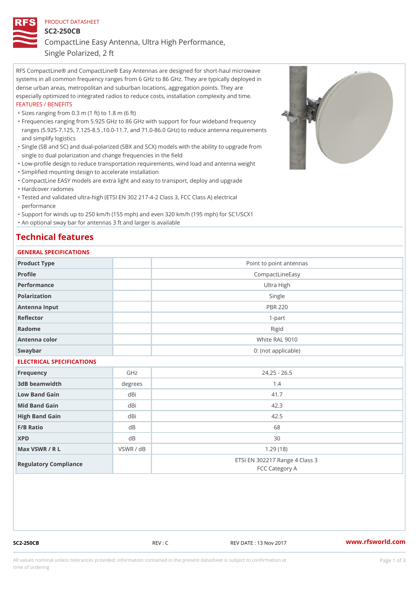### PRODUCT DATASHEET

SC2-250CB

CompactLine Easy Antenna, Ultra High Performance,

Single Polarized, 2 ft

RFS CompactLine® and CompactLine® Easy Antennas are designed for short-haul microwave systems in all common frequency ranges from 6 GHz to 86 GHz. They are typically deployed in dense urban areas, metropolitan and suburban locations, aggregation points. They are especially optimized to integrated radios to reduce costs, installation complexity and time. FEATURES / BENEFITS

"Sizes ranging from 0.3 m (1 ft) to 1.8 m (6 ft)

- Frequencies ranging from 5.925 GHz to 86 GHz with support for four wideband frequency " ranges (5.925-7.125, 7.125-8.5 ,10.0-11.7, and 71.0-86.0 GHz) to reduce antenna requirements and simplify logistics
- Single (SB and SC) and dual-polarized (SBX and SCX) models with the ability to upgrade from " single to dual polarization and change frequencies in the field
- "Low-profile design to reduce transportation requirements, wind load and antenna weight
- "Simplified mounting design to accelerate installation

 "CompactLine EASY models are extra light and easy to transport, deploy and upgrade "Hardcover radomes

Tested and validated ultra-high (ETSI EN 302 217-4-2 Class 3, FCC Class A) electrical " performance

 "Support for winds up to 250 km/h (155 mph) and even 320 km/h (195 mph) for SC1/SCX1 "An optional sway bar for antennas 3 ft and larger is available

# Technical features

## GENERAL SPECIFICATIONS

| OLINLINAL OI LOILIOAIIOINO |                |                                                  |  |  |
|----------------------------|----------------|--------------------------------------------------|--|--|
| Product Type               |                | Point to point antennas                          |  |  |
| Profile                    |                | CompactLineEasy                                  |  |  |
| Performance                |                | Ultra High                                       |  |  |
| Polarization               |                | Single                                           |  |  |
| Antenna Input              |                | <b>PBR 220</b>                                   |  |  |
| Reflector                  |                | $1 - p$ art                                      |  |  |
| Radome                     |                | Rigid                                            |  |  |
| Antenna color              |                | White RAL 9010                                   |  |  |
| Swaybar                    |                | 0: (not applicable)                              |  |  |
| ELECTRICAL SPECIFICATIONS  |                |                                                  |  |  |
| Frequency                  | GHz            | $24.25 - 26.5$                                   |  |  |
| 3dB beamwidth              | degree:        | 1.4                                              |  |  |
| Low Band Gain              | dBi            | 41.7                                             |  |  |
| Mid Band Gain              | dBi            | 42.3                                             |  |  |
| High Band Gain             | dBi            | 42.5                                             |  |  |
| F/B Ratio                  | d B            | 68                                               |  |  |
| <b>XPD</b>                 | d <sub>B</sub> | 30                                               |  |  |
| Max VSWR / R L             | VSWR / dB      | 1.29(18)                                         |  |  |
| Regulatory Compliance      |                | ETSI EN 302217 Range 4 Class 3<br>FCC Category A |  |  |

SC2-250CB REV : C REV DATE : 13 Nov 2017 [www.](https://www.rfsworld.com)rfsworld.com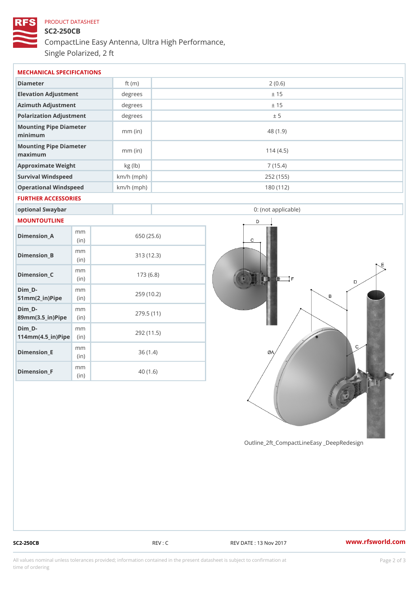# PRODUCT DATASHEET SC2-250CB CompactLine Easy Antenna, Ultra High Performance, Single Polarized, 2 ft

| MECHANICAL SPECIFICATIONS                               |             |              |                     |  |  |
|---------------------------------------------------------|-------------|--------------|---------------------|--|--|
| Diameter                                                |             | ft $(m)$     | 2(0.6)              |  |  |
| Elevation Adjustment                                    |             | degrees      | ± 15                |  |  |
| Azimuth Adjustment                                      |             | degrees      | ± 15                |  |  |
| Polarization Adjustment                                 |             | degrees      | ± 5                 |  |  |
| Mounting Pipe Diameter<br>minimum                       |             | $mm$ (in)    | 48 (1.9)            |  |  |
| Mounting Pipe Diameter<br>$m$ a x i $m$ u $m$           |             | $mm$ (in)    | 114(4.5)            |  |  |
| Approximate Weight                                      |             | kg (lb)      | 7(15.4)             |  |  |
| Survival Windspeed                                      |             | $km/h$ (mph) | 252 (155)           |  |  |
| Operational Windspeed                                   |             | $km/h$ (mph) | 180 (112)           |  |  |
| FURTHER ACCESSORIES                                     |             |              |                     |  |  |
| optional Swaybar                                        |             |              | 0: (not applicable) |  |  |
| MOUNTOUTLINE                                            |             |              |                     |  |  |
| $Dimension_A$                                           | m m<br>(in) |              | 650 (25.6)          |  |  |
| Dimension_B                                             | m m<br>(in) |              | 313(12.3)           |  |  |
| $Dimension_C$                                           | m m<br>(in) |              | 173(6.8)            |  |  |
| $Dim_D - D -$<br>$51mm(2_in)Pip@in$                     | m m         |              | 259 (10.2)          |  |  |
| $Dim_D - D -$<br>89mm (3.5_in) Pi(pine)                 | m m         |              | 279.5(11)           |  |  |
| $Dim_D - D -$<br>$114$ m m $(4.5$ _ ir $)$ $R$ ii p $e$ | m m         |              | 292 (11.5)          |  |  |
| $Dimension$ _ $E$                                       | m m<br>(in) |              | 36(1.4)             |  |  |
| $Dimension_F$                                           | m m         |              | 40(1.6)             |  |  |

Outline\_2ft\_CompactLineEasy \_DeepRedesi

(in)

SC2-250CB REV : C REV DATE : 13 Nov 2017 WWW.rfsworld.com